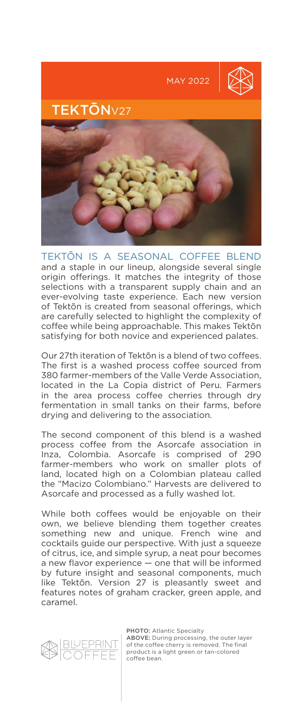

TEKTŌN IS A SEASONAL COFFEE BLEND and a staple in our lineup, alongside several single origin offerings. It matches the integrity of those selections with a transparent supply chain and an ever-evolving taste experience. Each new version of Tektõn is created from seasonal offerings, which are carefully selected to highlight the complexity of coffee while being approachable. This makes Tektõn satisfying for both novice and experienced palates.

Our 27th iteration of Tektõn is a blend of two coffees. The first is a washed process coffee sourced from 380 farmer-members of the Valle Verde Association, located in the La Copia district of Peru. Farmers in the area process coffee cherries through dry fermentation in small tanks on their farms, before drying and delivering to the association.

The second component of this blend is a washed process coffee from the Asorcafe association in Inza, Colombia. Asorcafe is comprised of 290 farmer-members who work on smaller plots of land, located high on a Colombian plateau called the "Macizo Colombiano." Harvests are delivered to Asorcafe and processed as a fully washed lot.

While both coffees would be enjoyable on their own, we believe blending them together creates something new and unique. French wine and cocktails guide our perspective. With just a squeeze of citrus, ice, and simple syrup, a neat pour becomes a new flavor experience — one that will be informed by future insight and seasonal components, much like Tektõn. Version 27 is pleasantly sweet and features notes of graham cracker, green apple, and caramel.